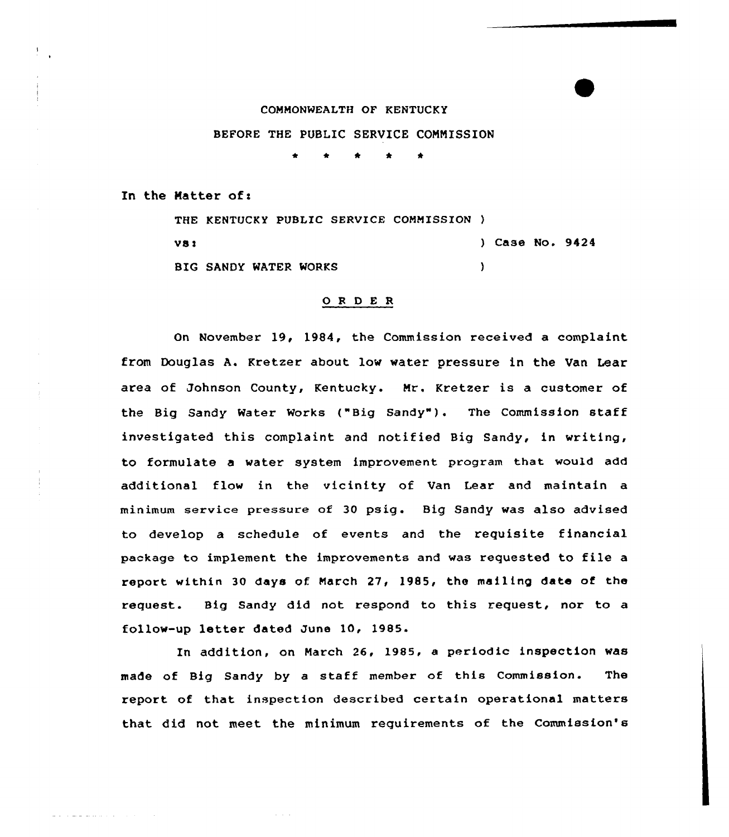## COMMONWEALTH OF KENTUCKY

## BEFORE THE PUBLIC SERVICE COMMISSION

In the Matter of:

THE KENTUCKY PUBLIC SERVICE COMMISSION ) ) Case No. 9424  $V31$ BIG SANDY WATER WORKS  $\lambda$ 

## 0 <sup>R</sup> <sup>D</sup> E <sup>R</sup>

On November 19, 1984, the Commission received a complaint from Douglas A. Kretzer about low water pressure in the Van Lear area of Johnson County, Kentucky. Mr. Kretzer is a customer of the Big Sandy Water Works ("Big Sandy"). The Commission staff investigated this complaint and notified Big Sandy, in writing, to formulate a water system improvement program that would add additional flow in the vicinity of Van Lear and maintain a minimum service pressure of 30 psig. Big Sandy was also advised to develop a schedule of events and the requisite financial package to implement the improvements and was requested to file <sup>a</sup> report within 30 days of. March 27, 1985, the mailing data of the request. Big Sandy did not respond to this request, nor to a follow-up letter dated June 10, 1985.

In addition, on March 26, 1985, a periodic inspection was made of Big Sandy by a staff member of this Commission. The report of that inspection described certain operational matters that did not meet the minimum requirements of the Commission's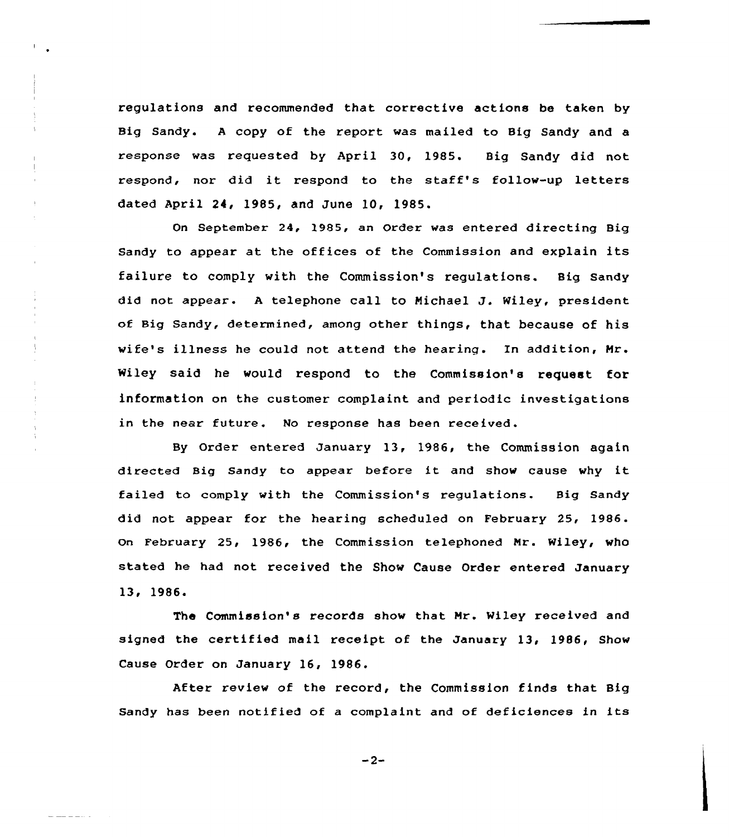regulations and recommended that corrective actions be taken by Big Sandy. <sup>A</sup> copy cf the report was mailed to Big Sandy and <sup>a</sup> response was requested by April 30, 1985. Big Sandy did not respond, nor did it respond to the staff's follow-up letters dated April 24, 1985, and June 10, 1985.

On September 24, 1985, an Order was entered directing Big Sandy to appear at the offices of the Commission and explain its failure to comply with the Commission's regulations. Big Sandy did not appear. <sup>A</sup> telephone call to Michael J. Wiley, president of Big Sandy, determined, among other things, that because of his wife's illness he could not attend the hearing. In addition, Hr. Wiley said he would respond to the Commission's request for information on the customer complaint and periodic investigations in the near future. No response has been received.

By Order entered January 13, 1986, the Commission again directed Big Sandy to appear before it and show cause why it failed to comply with the Commission's regulations. Big Sandy did not appear for the hearing scheduled on February 25, 1986. on February 25, 1986, the Commission telephoned Nr. Wiley, who stated he had not received the Show Cause Order entered January 13, 1986.

The Commission's records show that Mr. Wiley received and signed the certified mail receipt of the January 13, 1986, Show Cause Order on January 16, 1986.

After review of the record, the Commission finds that Big Sandy has been notified of <sup>a</sup> complaint and of deficiences in its

 $-2-$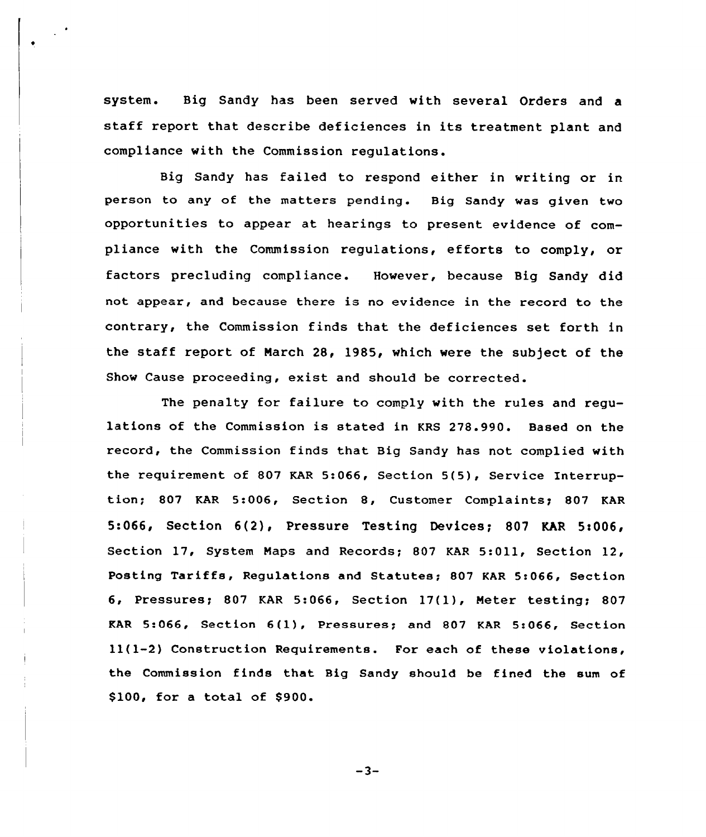system. Big Sandy has been served with several Orders and a staff report that describe deficiences in its treatment plant and compliance with the Commission regulations.

Big Sandy has failed to respond either in writing or in person to any of the matters pending. Big Sandy was given two opportunities to appear at hearings to present evidence of compliance with the Commission regulations, efforts to comply, or factors precluding compliance. However, because Big Sandy did not appear, and because there is no evidence in the record to the contrary, the Commission finds that the deficiences set forth in the staff report of March 28, l985, which were the subject of the Show Cause proceeding, exist and should be corrected.

The penalty for failure to comply with the rules and regulations of the Commission is stated in KRS 278.990. Based on the record, the Commission finds that Big Sandy has not complied with the requirement of 807 KAR 5:066, Section 5(5), Service Interruption; 807 KAR 5:006, Section 8, Customer Complaints; 807 KAR 5:066, Section 6(2), Pressure Testing Devices; 807 KAR 5<006, Section 17, System Maps and Records; 807 KAR 5:011, Section 12, Posting Tariffs, Regulations and Statutes; 807 KAR 5:066, Section 6, Pressures; 807 KAR 5:066, Section 17(1), Meter testing; 807 KAR 5:066, Section 6(1), Pressures; and 807 KAR 5:066, Section ll(1-2) Construction Requirements. For each of these violations, the Commission finds that Big Sandy should be fined the sum of \$100, for a total of \$900.

 $-3-$